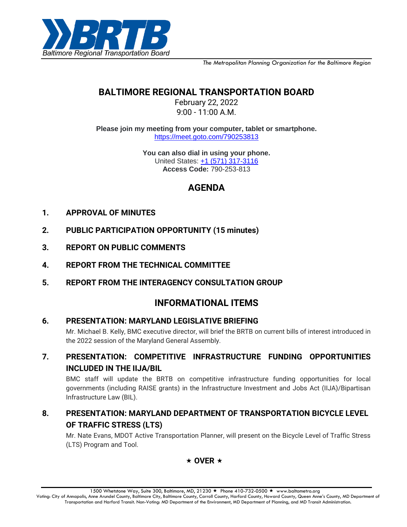

*The Metropolitan Planning Organization for the Baltimore Region*

# **BALTIMORE REGIONAL TRANSPORTATION BOARD**

February 22, 2022 9:00 - 11:00 A.M.

**Please join my meeting from your computer, tablet or smartphone.** <https://meet.goto.com/790253813>

> **You can also dial in using your phone.** United States: [+1 \(571\) 317-3116](tel:+15713173116,,790253813) **Access Code:** 790-253-813

# **AGENDA**

- **1. APPROVAL OF MINUTES**
- **2. PUBLIC PARTICIPATION OPPORTUNITY (15 minutes)**
- **3. REPORT ON PUBLIC COMMENTS**
- **4. REPORT FROM THE TECHNICAL COMMITTEE**
- **5. REPORT FROM THE INTERAGENCY CONSULTATION GROUP**

## **INFORMATIONAL ITEMS**

### **6. PRESENTATION: MARYLAND LEGISLATIVE BRIEFING**

Mr. Michael B. Kelly, BMC executive director, will brief the BRTB on current bills of interest introduced in the 2022 session of the Maryland General Assembly.

**7. PRESENTATION: COMPETITIVE INFRASTRUCTURE FUNDING OPPORTUNITIES INCLUDED IN THE IIJA/BIL**

BMC staff will update the BRTB on competitive infrastructure funding opportunities for local governments (including RAISE grants) in the Infrastructure Investment and Jobs Act (IIJA)/Bipartisan Infrastructure Law (BIL).

## **8. PRESENTATION: MARYLAND DEPARTMENT OF TRANSPORTATION BICYCLE LEVEL OF TRAFFIC STRESS (LTS)**

Mr. Nate Evans, MDOT Active Transportation Planner, will present on the Bicycle Level of Traffic Stress (LTS) Program and Tool.



1500 Whetstone Way, Suite 300, Baltimore, MD, 21230 ★ Phone 410-732-0500 ★ www.baltometro.org

Voting: City of Annapolis, Anne Arundel County, Baltimore City, Baltimore County, Carroll County, Harford County, Howard County, Queen Anne's County, MD Department of Transportation and Harford Transit. Non-Voting: MD Department of the Environment, MD Department of Planning, and MD Transit Administration.